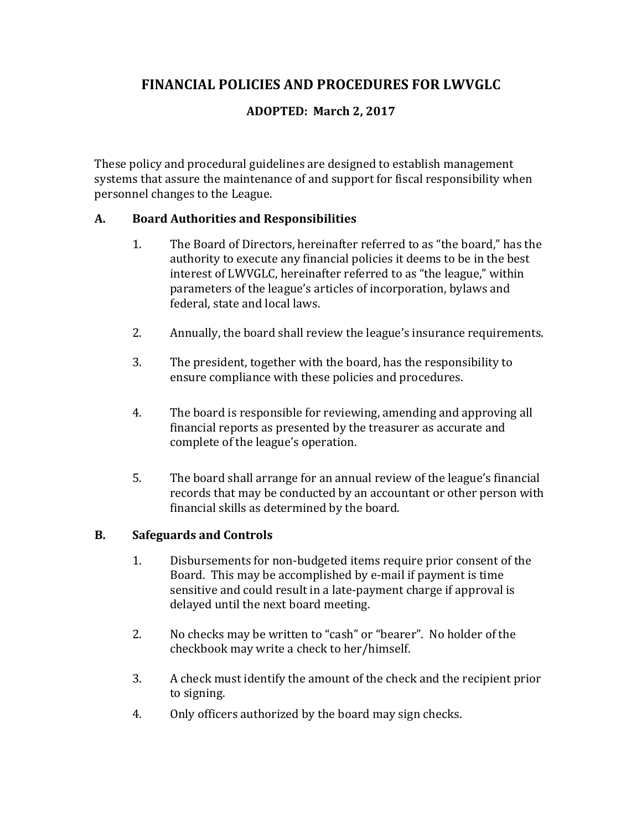# **FINANCIAL POLICIES AND PROCEDURES FOR LWVGLC**

## **ADOPTED: March 2, 2017**

These policy and procedural guidelines are designed to establish management systems that assure the maintenance of and support for fiscal responsibility when personnel changes to the League.

#### **A. Board Authorities and Responsibilities**

- 1. The Board of Directors, hereinafter referred to as "the board," has the authority to execute any financial policies it deems to be in the best interest of LWVGLC, hereinafter referred to as "the league," within parameters of the league's articles of incorporation, bylaws and federal, state and local laws.
- 2. Annually, the board shall review the league's insurance requirements.
- 3. The president, together with the board, has the responsibility to ensure compliance with these policies and procedures.
- 4. The board is responsible for reviewing, amending and approving all financial reports as presented by the treasurer as accurate and complete of the league's operation.
- 5. The board shall arrange for an annual review of the league's financial records that may be conducted by an accountant or other person with financial skills as determined by the board.

#### **B.** Safeguards and Controls

- 1. Disbursements for non-budgeted items require prior consent of the Board. This may be accomplished by e-mail if payment is time sensitive and could result in a late-payment charge if approval is delayed until the next board meeting.
- 2. No checks may be written to "cash" or "bearer". No holder of the checkbook may write a check to her/himself.
- 3. A check must identify the amount of the check and the recipient prior to signing.
- 4. Only officers authorized by the board may sign checks.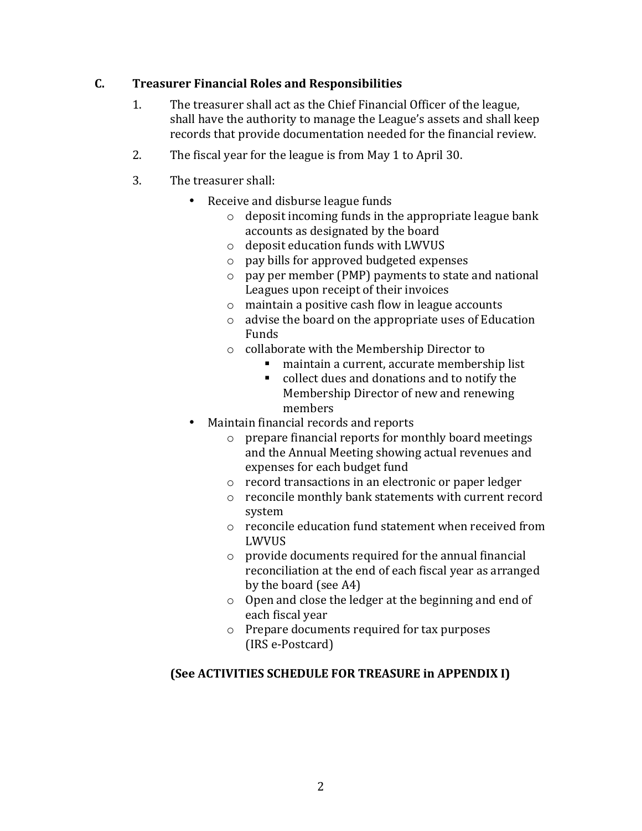## **C. Treasurer Financial Roles and Responsibilities**

- 1. The treasurer shall act as the Chief Financial Officer of the league, shall have the authority to manage the League's assets and shall keep records that provide documentation needed for the financial review.
- 2. The fiscal year for the league is from May 1 to April 30.
- 3. The treasurer shall:
	- Receive and disburse league funds
		- $\circ$  deposit incoming funds in the appropriate league bank accounts as designated by the board
		- $\circ$  deposit education funds with LWVUS
		- $\circ$  pay bills for approved budgeted expenses
		- $\circ$  pay per member (PMP) payments to state and national Leagues upon receipt of their invoices
		- $\circ$  maintain a positive cash flow in league accounts
		- $\circ$  advise the board on the appropriate uses of Education Funds
		- $\circ$  collaborate with the Membership Director to
			- maintain a current, accurate membership list
			- collect dues and donations and to notify the Membership Director of new and renewing members
	- Maintain financial records and reports
		- $\circ$  prepare financial reports for monthly board meetings and the Annual Meeting showing actual revenues and expenses for each budget fund
		- o record transactions in an electronic or paper ledger
		- $\circ$  reconcile monthly bank statements with current record system
		- $\circ$  reconcile education fund statement when received from LWVUS
		- $\circ$  provide documents required for the annual financial reconciliation at the end of each fiscal year as arranged by the board  $(see A4)$
		- $\circ$  Open and close the ledger at the beginning and end of each fiscal year
		- $\circ$  Prepare documents required for tax purposes (IRS e-Postcard)

## **(See ACTIVITIES SCHEDULE FOR TREASURE in APPENDIX I)**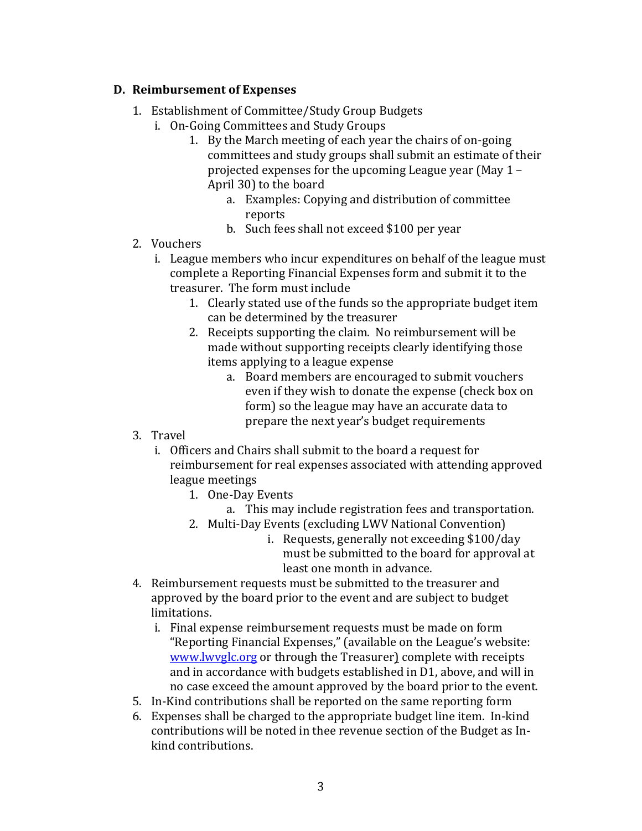## **D. Reimbursement of Expenses**

- 1. Establishment of Committee/Study Group Budgets
	- i. On-Going Committees and Study Groups
		- 1. By the March meeting of each year the chairs of on-going committees and study groups shall submit an estimate of their projected expenses for the upcoming League year (May  $1 -$ April 30) to the board
			- a. Examples: Copying and distribution of committee reports
			- b. Such fees shall not exceed \$100 per year
- 2. Vouchers
	- i. League members who incur expenditures on behalf of the league must complete a Reporting Financial Expenses form and submit it to the treasurer. The form must include
		- 1. Clearly stated use of the funds so the appropriate budget item can be determined by the treasurer
		- 2. Receipts supporting the claim. No reimbursement will be made without supporting receipts clearly identifying those items applying to a league expense
			- a. Board members are encouraged to submit vouchers even if they wish to donate the expense (check box on form) so the league may have an accurate data to prepare the next year's budget requirements
- 3. Travel
	- i. Officers and Chairs shall submit to the board a request for reimbursement for real expenses associated with attending approved league meetings
		- 1. One-Day Events
			- a. This may include registration fees and transportation.
		- 2. Multi-Day Events (excluding LWV National Convention)
			- i. Requests, generally not exceeding \$100/day must be submitted to the board for approval at least one month in advance.
- 4. Reimbursement requests must be submitted to the treasurer and approved by the board prior to the event and are subject to budget limitations.
	- i. Final expense reimbursement requests must be made on form "Reporting Financial Expenses," (available on the League's website: www.lwvglc.org or through the Treasurer) complete with receipts and in accordance with budgets established in D1, above, and will in no case exceed the amount approved by the board prior to the event.
- 5. In-Kind contributions shall be reported on the same reporting form
- 6. Expenses shall be charged to the appropriate budget line item. In-kind contributions will be noted in thee revenue section of the Budget as Inkind contributions.